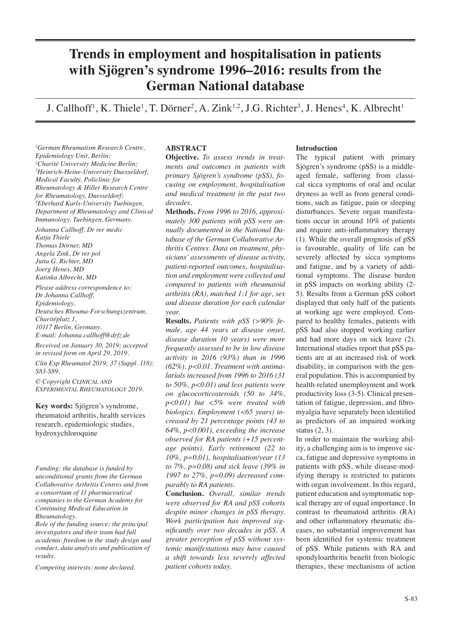# **Trends in employment and hospitalisation in patients with Sjögren's syndrome 1996–2016: results from the German National database**

J. Callhoff<sup>1</sup>, K. Thiele<sup>1</sup>, T. Dörner<sup>2</sup>, A. Zink<sup>1,2</sup>, J.G. Richter<sup>3</sup>, J. Henes<sup>4</sup>, K. Albrecht<sup>1</sup>

*1 German Rheumatism Research Centre, Epidemiology Unit, Berlin; 2 Charité University Medicine Berlin; 3 Heinrich-Heine-University Duesseldorf, Medical Faculty, Policlinic for Rheumatology & Hiller Research Centre for Rheumatology, Duesseldorf; 4 Eberhard Karls-University Tuebingen, Department of Rheumatology and Clinical Immunology, Tuebingen, Germany.*

*Johanna Callhoff, Dr rer medic Katja Thiele Thomas Dörner, MD Angela Zink, Dr rer pol Jutta G. Richter, MD Joerg Henes, MD Katinka Albrecht, MD*

*Please address correspondence to: Dr Johanna Callhoff, Epidemiology, Deutsches Rheuma-Forschungszentrum, Charitéplatz 1, 10117 Berlin, Germany. E-mail: Johanna.callhoff@drfz.de*

*Received on January 30, 2019; accepted in revised form on April 29, 2019.*

*Clin Exp Rheumatol 2019; 37 (Suppl. 118): S83-S89.*

*© Copyright Clinical and Experimental Rheumatology 2019.*

**Key words:** Sjögren's syndrome, rheumatoid arthritis, health services research, epidemiologic studies, hydroxychloroquine

*Funding: the database is funded by unconditional grants from the German Collaborative Arthritis Centres and from a consortium of 11 pharmaceutical companies to the German Academy for Continuing Medical Education in Rheumatology.* 

*Role of the funding source: the principal investigators and their team had full academic freedom in the study design and conduct, data analysis and publication of results.*

*Competing interests: none declared.*

## **ABSTRACT**

**Objective.** *To assess trends in treatments and outcomes in patients with primary Sjögren's syndrome (pSS), focusing on employment, hospitalisation and medical treatment in the past two decades.*

**Methods.** *From 1996 to 2016, approximately 300 patients with pSS were annually documented in the National Database of the German Collaborative Arthritis Centres. Data on treatment, physicians' assessments of disease activity, patient-reported outcomes, hospitalisation and employment were collected and compared to patients with rheumatoid arthritis (RA), matched 1:1 for age, sex and disease duration for each calendar year.* 

**Results.** *Patients with pSS (>90% female, age 44 years at disease onset, disease duration 10 years) were more frequently assessed to be in low disease activity in 2016 (93%) than in 1996 (62%), p<0.01. Treatment with antimalarials increased from 1996 to 2016 (31 to 50%, p<0.01) and less patients were on glucocorticosteroids (50 to 34%, p<0.01) but <5% were treated with biologics. Employment (<65 years) increased by 21 percentage points (43 to 64%, p<0.001), exceeding the increase observed for RA patients (+15 percentage points). Early retirement (22 to 10%, p=0.01), hospitalisation/year (13 to 7%, p=0.08) and sick leave (39% in 1997 to 27%, p=0.09) decreased comparably to RA patients.* 

**Conclusion.** *Overall, similar trends were observed for RA and pSS cohorts despite minor changes in pSS therapy. Work participation has improved significantly over two decades in pSS. A greater perception of pSS without systemic manifestations may have caused a shift towards less severely affected patient cohorts today.*

#### **Introduction**

The typical patient with primary Sjögren's syndrome (pSS) is a middleaged female, suffering from classical sicca symptoms of oral and ocular dryness as well as from general conditions, such as fatigue, pain or sleeping disturbances. Severe organ manifestations occur in around 10% of patients and require anti-inflammatory therapy (1). While the overall prognosis of pSS is favourable, quality of life can be severely affected by sicca symptoms and fatigue, and by a variety of additional symptoms. The disease burden in pSS impacts on working ability (2- 5). Results from a German pSS cohort displayed that only half of the patients at working age were employed. Compared to healthy females, patients with pSS had also stopped working earlier and had more days on sick leave (2). International studies report that pSS patients are at an increased risk of work disability, in comparison with the general population. This is accompanied by health-related unemployment and work productivity loss (3-5). Clinical presentation of fatigue, depression, and fibromyalgia have separately been identified as predictors of an impaired working status (2, 3).

In order to maintain the working ability, a challenging aim is to improve sicca, fatigue and depressive symptoms in patients with pSS, while disease-modifying therapy is restricted to patients with organ involvement. In this regard, patient education and symptomatic topical therapy are of equal importance. In contrast to rheumatoid arthritis (RA) and other inflammatory rheumatic diseases, no substantial improvement has been identified for systemic treatment of pSS. While patients with RA and spondyloarthritis benefit from biologic therapies, these mechanisms of action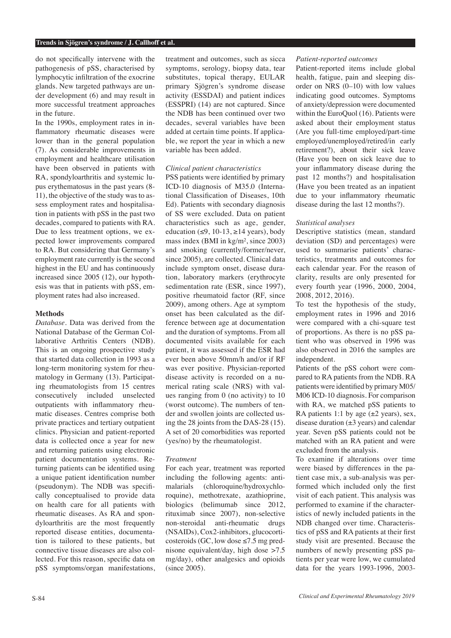#### **Trends in Sjögren's syndrome / J. Callhoff et al.**

do not specifically intervene with the pathogenesis of pSS, characterised by lymphocytic infiltration of the exocrine glands. New targeted pathways are under development (6) and may result in more successful treatment approaches in the future.

In the 1990s, employment rates in inflammatory rheumatic diseases were lower than in the general population (7). As considerable improvements in employment and healthcare utilisation have been observed in patients with RA, spondyloarthritis and systemic lupus erythematosus in the past years (8- 11), the objective of the study was to assess employment rates and hospitalisation in patients with pSS in the past two decades, compared to patients with RA. Due to less treatment options, we expected lower improvements compared to RA. But considering that Germany's employment rate currently is the second highest in the EU and has continuously increased since 2005 (12), our hypothesis was that in patients with pSS, employment rates had also increased.

## **Methods**

*Database.* Data was derived from the National Database of the German Collaborative Arthritis Centers (NDB). This is an ongoing prospective study that started data collection in 1993 as a long-term monitoring system for rheumatology in Germany (13). Participating rheumatologists from 15 centres consecutively included unselected outpatients with inflammatory rheumatic diseases. Centres comprise both private practices and tertiary outpatient clinics. Physician and patient-reported data is collected once a year for new and returning patients using electronic patient documentation systems. Returning patients can be identified using a unique patient identification number (pseudonym). The NDB was specifically conceptualised to provide data on health care for all patients with rheumatic diseases. As RA and spondyloarthritis are the most frequently reported disease entities, documentation is tailored to these patients, but connective tissue diseases are also collected. For this reason, specific data on pSS symptoms/organ manifestations, treatment and outcomes, such as sicca symptoms, serology, biopsy data, tear substitutes, topical therapy, EULAR primary Sjögren's syndrome disease activity (ESSDAI) and patient indices (ESSPRI) (14) are not captured. Since the NDB has been continued over two decades, several variables have been added at certain time points. If applicable, we report the year in which a new variable has been added.

## *Clinical patient characteristics*

PSS patients were identified by primary ICD-10 diagnosis of M35.0 (International Classification of Diseases, 10th Ed). Patients with secondary diagnosis of SS were excluded. Data on patient characteristics such as age, gender, education ( $\leq 9$ , 10-13,  $\geq 14$  years), body mass index (BMI in kg/m², since 2003) and smoking (currently/former/never, since 2005), are collected. Clinical data include symptom onset, disease duration, laboratory markers (erythrocyte sedimentation rate (ESR, since 1997), positive rheumatoid factor (RF, since 2009), among others. Age at symptom onset has been calculated as the difference between age at documentation and the duration of symptoms. From all documented visits available for each patient, it was assessed if the ESR had ever been above 50mm/h and/or if RF was ever positive. Physician-reported disease activity is recorded on a numerical rating scale (NRS) with values ranging from 0 (no activity) to 10 (worst outcome). The numbers of tender and swollen joints are collected using the 28 joints from the DAS-28 (15). A set of 20 comorbidities was reported (yes/no) by the rheumatologist.

## *Treatment*

For each year, treatment was reported including the following agents: antimalarials (chloroquine/hydroxychloroquine), methotrexate, azathioprine, biologics (belimumab since 2012, rituximab since 2007), non-selective non-steroidal anti-rheumatic drugs (NSAIDs), Cox2-inhibitors, glucocorticosteroids (GC, low dose  $\leq$ 7.5 mg prednisone equivalent/day, high dose >7.5 mg/day), other analgesics and opioids (since 2005).

## *Patient-reported outcomes*

Patient-reported items include global health, fatigue, pain and sleeping disorder on NRS (0–10) with low values indicating good outcomes. Symptoms of anxiety/depression were documented within the EuroQuol (16). Patients were asked about their employment status (Are you full-time employed/part-time employed/unemployed/retired/in early retirement?), about their sick leave (Have you been on sick leave due to your inflammatory disease during the past 12 months?) and hospitalisation (Have you been treated as an inpatient due to your inflammatory rheumatic disease during the last 12 months?).

## *Statistical analyses*

Descriptive statistics (mean, standard deviation (SD) and percentages) were used to summarise patients' characteristics, treatments and outcomes for each calendar year. For the reason of clarity, results are only presented for every fourth year (1996, 2000, 2004, 2008, 2012, 2016).

To test the hypothesis of the study, employment rates in 1996 and 2016 were compared with a chi-square test of proportions. As there is no pSS patient who was observed in 1996 was also observed in 2016 the samples are independent.

Patients of the pSS cohort were compared to RA patients from the NDB. RA patients were identified by primary M05/ M06 ICD-10 diagnosis. For comparison with RA, we matched pSS patients to RA patients 1:1 by age  $(\pm 2 \text{ years})$ , sex, disease duration  $(\pm 3 \text{ years})$  and calendar year. Seven pSS patients could not be matched with an RA patient and were excluded from the analysis.

To examine if alterations over time were biased by differences in the patient case mix, a sub-analysis was performed which included only the first visit of each patient. This analysis was performed to examine if the characteristics of newly included patients in the NDB changed over time. Characteristics of pSS and RA patients at their first study visit are presented. Because the numbers of newly presenting pSS patients per year were low, we cumulated data for the years 1993-1996, 2003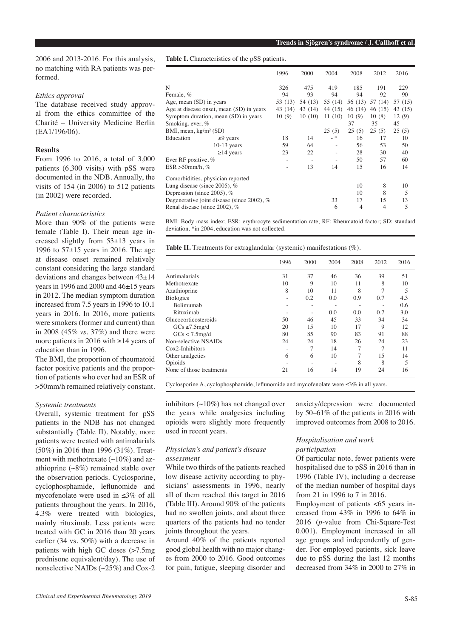2006 and 2013-2016. For this analysis, no matching with RA patients was performed.

# *Ethics approval*

The database received study approval from the ethics committee of the Charité – University Medicine Berlin (EA1/196/06).

## **Results**

From 1996 to 2016, a total of 3,000 patients (6,300 visits) with pSS were documented in the NDB. Annually, the visits of 154 (in 2006) to 512 patients (in 2002) were recorded.

# *Patient characteristics*

More than 90% of the patients were female (Table I). Their mean age increased slightly from 53±13 years in 1996 to 57±15 years in 2016. The age at disease onset remained relatively constant considering the large standard deviations and changes between 43±14 years in 1996 and 2000 and 46±15 years in 2012. The median symptom duration increased from 7.5 years in 1996 to 10.1 years in 2016. In 2016, more patients were smokers (former and current) than in 2008 (45% *vs.* 37%) and there were more patients in 2016 with ≥14 years of education than in 1996.

The BMI, the proportion of rheumatoid factor positive patients and the proportion of patients who ever had an ESR of >50mm/h remained relatively constant.

## *Systemic treatments*

Overall, systemic treatment for pSS patients in the NDB has not changed substantially (Table II). Notably, more patients were treated with antimalarials (50%) in 2016 than 1996 (31%). Treatment with methotrexate  $(\sim 10\%)$  and azathioprine (~8%) remained stable over the observation periods. Cyclosporine, cyclophosphamide, leflunomide and mycofenolate were used in ≤3% of all patients throughout the years. In 2016, 4.3% were treated with biologics, mainly rituximab. Less patients were treated with GC in 2016 than 20 years earlier (34 vs. 50%) with a decrease in patients with high GC doses (>7.5mg prednisone equivalent/day). The use of nonselective NAIDs (~25%) and Cox-2

**Table I.** Characteristics of the pSS patients.

|                                            |                                          | 1996    | 2000    | 2004              | 2008    | 2012    | 2016    |
|--------------------------------------------|------------------------------------------|---------|---------|-------------------|---------|---------|---------|
| N                                          |                                          | 326     | 475     | 419               | 185     | 191     | 229     |
| Female, %                                  |                                          | 94      | 93      | 94                | 94      | 92      | 90      |
| Age, mean (SD) in years                    |                                          | 53 (13) | 54 (13) | 55 (14)           | 56 (13) | 57 (14) | 57 (15) |
|                                            | Age at disease onset, mean (SD) in years | 43 (14) | 43 (14) | 44 (15)           | 46 (14) | 46(15)  | 43 (15) |
|                                            | Symptom duration, mean (SD) in years     | 10(9)   | 10(10)  | 11(10)            | 10(9)   | 10(8)   | 12(9)   |
| Smoking, ever, %                           |                                          |         |         |                   | 37      | 35      | 45      |
| BMI, mean, $kg/m^2(SD)$                    |                                          |         |         | 25(5)             | 25(5)   | 25(5)   | 25(5)   |
| Education                                  | $\leq$ 9 years                           | 18      | 14      | $-$ *             | 16      | 17      | 10      |
|                                            | $10-13$ years                            | 59      | 64      | $\qquad \qquad -$ | 56      | 53      | 50      |
|                                            | $\geq$ 14 years                          | 23      | 22      |                   | 28      | 30      | 40      |
| Ever RF positive, %                        |                                          | ÷       |         |                   | 50      | 57      | 60      |
| $ESR > 50$ mm/h, %                         |                                          |         | 13      | 14                | 15      | 16      | 14      |
|                                            | Comorbidities, physician reported        |         |         |                   |         |         |         |
|                                            | Lung disease (since 2005), $%$           |         |         |                   | 10      | 8       | 10      |
| Depression (since 2005), %                 |                                          |         |         |                   | 10      | 8       | 5       |
| Degenerative joint disease (since 2002), % |                                          |         |         | 33                | 17      | 15      | 13      |
|                                            | Renal disease (since 2002), %            |         |         | 6                 | 4       | 4       | 5       |

BMI: Body mass index; ESR: erythrocyte sedimentation rate; RF: Rheumatoid factor; SD: standard deviation. \*in 2004, education was not collected.

**Table II.** Treatments for extraglandular (systemic) manifestations (%).

|                          | 1996 | 2000 | 2004 | 2008 | 2012 | 2016 |
|--------------------------|------|------|------|------|------|------|
| Antimalarials            | 31   | 37   | 46   | 36   | 39   | 51   |
| Methotrexate             | 10   | 9    | 10   | 11   | 8    | 10   |
| Azathioprine             | 8    | 10   | 11   | 8    | 7    | 5    |
| <b>Biologics</b>         | -    | 0.2  | 0.0  | 0.9  | 0.7  | 4.3  |
| <b>Belimumab</b>         | ۰    | -    |      | ٠    |      | 0.6  |
| Rituximab                |      | -    | 0.0  | 0.0  | 0.7  | 3.0  |
| Glucocorticosteroids     | 50   | 46   | 45   | 33   | 34   | 34   |
| $GCs \ge 7.5mg/d$        | 20   | 15   | 10   | 17   | 9    | 12   |
| $GCs < 7.5$ mg/d         | 80   | 85   | 90   | 83   | 91   | 88   |
| Non-selective NSAIDs     | 24   | 24   | 18   | 26   | 24   | 23   |
| $Cox2$ -Inhibitors       |      | 7    | 14   | 7    | 7    | 11   |
| Other analgetics         | 6    | 6    | 10   | 7    | 15   | 14   |
| Opioids                  |      |      |      | 8    | 8    | 5    |
| None of those treatments | 21   | 16   | 14   | 19   | 24   | 16   |

Cyclosporine A, cyclophosphamide, leflunomide and mycofenolate were ≤3% in all years.

inhibitors  $(\sim 10\%)$  has not changed over the years while analgesics including opioids were slightly more frequently used in recent years.

## *Physician's and patient's disease assessment*

While two thirds of the patients reached low disease activity according to physicians' assessments in 1996, nearly all of them reached this target in 2016 (Table III). Around 90% of the patients had no swollen joints, and about three quarters of the patients had no tender joints throughout the years.

Around 40% of the patients reported good global health with no major changes from 2000 to 2016. Good outcomes for pain, fatigue, sleeping disorder and

anxiety/depression were documented by 50–61% of the patients in 2016 with improved outcomes from 2008 to 2016.

# *Hospitalisation and work participation*

Of particular note, fewer patients were hospitalised due to pSS in 2016 than in 1996 (Table IV), including a decrease of the median number of hospital days from 21 in 1996 to 7 in 2016.

Employment of patients <65 years increased from 43% in 1996 to 64% in 2016 (*p*-value from Chi-Square-Test 0.001). Employment increased in all age groups and independently of gender. For employed patients, sick leave due to pSS during the last 12 months decreased from 34% in 2000 to 27% in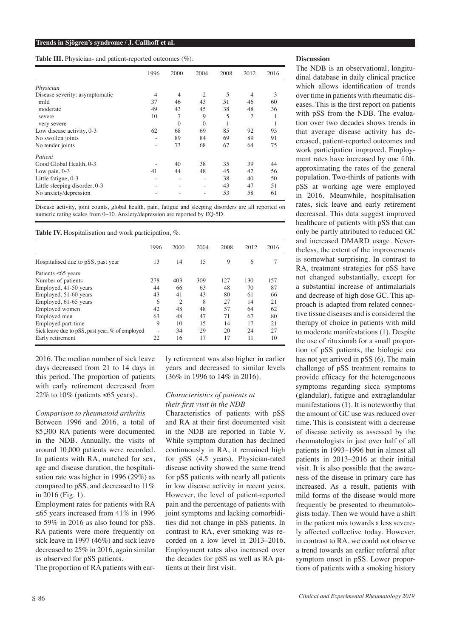**Table III.** Physician- and patient-reported outcomes (%).

|                                | 1996 | 2000     | 2004           | 2008 | 2012           | 2016 |
|--------------------------------|------|----------|----------------|------|----------------|------|
| Physician                      |      |          |                |      |                |      |
| Disease severity: asymptomatic | 4    | 4        | $\overline{2}$ | 5    | $\overline{4}$ | 3    |
| mild                           | 37   | 46       | 43             | 51   | 46             | 60   |
| moderate                       | 49   | 43       | 45             | 38   | 48             | 36   |
| severe                         | 10   | 7        | 9              | 5    | 2              | 1    |
| very severe                    |      | $\Omega$ | $\Omega$       |      |                |      |
| Low disease activity, 0-3      | 62   | 68       | 69             | 85   | 92             | 93   |
| No swollen joints              |      | 89       | 84             | 69   | 89             | 91   |
| No tender joints               |      | 73       | 68             | 67   | 64             | 75   |
| Patient                        |      |          |                |      |                |      |
| Good Global Health, 0-3        |      | 40       | 38             | 35   | 39             | 44   |
| Low pain, $0-3$                | 41   | 44       | 48             | 45   | 42             | 56   |
| Little fatigue, 0-3            |      | ۰        |                | 38   | 40             | 50   |
| Little sleeping disorder, 0-3  |      | -        |                | 43   | 47             | 51   |
| No anxiety/depression          |      |          |                | 53   | 58             | 61   |

Disease activity, joint counts, global health, pain, fatigue and sleeping disorders are all reported on numeric rating scales from 0–10. Anxiety/depression are reported by EQ-5D.

Table IV. Hospitalisation and work participation, %.

|                                                 | 1996 | 2000           | 2004 | 2008 | 2012 | 2016 |
|-------------------------------------------------|------|----------------|------|------|------|------|
| Hospitalised due to pSS, past year              | 13   | 14             | 15   | 9    | 6    | 7    |
| Patients $\leq 65$ years                        |      |                |      |      |      |      |
| Number of patients                              | 278  | 403            | 309  | 127  | 130  | 157  |
| Employed, 41-50 years                           | 44   | 66             | 63   | 48   | 70   | 87   |
| Employed, 51-60 years                           | 43   | 41             | 43   | 80   | 61   | 66   |
| Employed, 61-65 years                           | 6    | $\overline{c}$ | 8    | 27   | 14   | 21   |
| Employed women                                  | 42   | 48             | 48   | 57   | 64   | 62   |
| Employed men                                    | 63   | 48             | 47   | 71   | 67   | 80   |
| Employed part-time                              | 9    | 10             | 15   | 14   | 17   | 21   |
| Sick leave due to pSS, past year, % of employed |      | 34             | 29   | 20   | 24   | 27   |
| Early retirement                                | 22   | 16             | 17   | 17   | 11   | 10   |

2016. The median number of sick leave days decreased from 21 to 14 days in this period. The proportion of patients with early retirement decreased from 22% to 10% (patients  $\leq 65$  years).

#### *Comparison to rheumatoid arthritis*

Between 1996 and 2016, a total of 85,300 RA patients were documented in the NDB. Annually, the visits of around 10,000 patients were recorded. In patients with RA, matched for sex, age and disease duration, the hospitalisation rate was higher in 1996 (29%) as compared to pSS, and decreased to 11% in 2016 (Fig. 1).

Employment rates for patients with RA ≤65 years increased from 41% in 1996 to 59% in 2016 as also found for pSS. RA patients were more frequently on sick leave in 1997 (46%) and sick leave decreased to 25% in 2016, again similar as observed for pSS patients.

The proportion of RA patients with ear-

ly retirement was also higher in earlier years and decreased to similar levels (36% in 1996 to 14% in 2016).

#### *Characteristics of patients at their first visit in the NDB*

Characteristics of patients with pSS and RA at their first documented visit in the NDB are reported in Table V. While symptom duration has declined continuously in RA, it remained high for pSS (4.5 years). Physician-rated disease activity showed the same trend for pSS patients with nearly all patients in low disease activity in recent years. However, the level of patient-reported pain and the percentage of patients with joint symptoms and lacking comorbidities did not change in pSS patients. In contrast to RA, ever smoking was recorded on a low level in 2013–2016. Employment rates also increased over the decades for pSS as well as RA patients at their first visit.

#### **Discussion**

The NDB is an observational, longitudinal database in daily clinical practice which allows identification of trends over time in patients with rheumatic diseases. This is the first report on patients with pSS from the NDB. The evaluation over two decades shows trends in that average disease activity has decreased, patient-reported outcomes and work participation improved. Employment rates have increased by one fifth, approximating the rates of the general population. Two-thirds of patients with pSS at working age were employed in 2016. Meanwhile, hospitalisation rates, sick leave and early retirement decreased. This data suggest improved healthcare of patients with pSS that can only be partly attributed to reduced GC and increased DMARD usage. Nevertheless, the extent of the improvements is somewhat surprising. In contrast to RA, treatment strategies for pSS have not changed substantially, except for a substantial increase of antimalarials and decrease of high dose GC. This approach is adapted from related connective tissue diseases and is considered the therapy of choice in patients with mild to moderate manifestations (1). Despite the use of rituximab for a small proportion of pSS patients, the biologic era has not yet arrived in pSS (6). The main challenge of pSS treatment remains to provide efficacy for the heterogeneous symptoms regarding sicca symptoms (glandular), fatigue and extraglandular manifestations (1). It is noteworthy that the amount of GC use was reduced over time. This is consistent with a decrease of disease activity as assessed by the rheumatologists in just over half of all patients in 1993–1996 but in almost all patients in 2013–2016 at their initial visit. It is also possible that the awareness of the disease in primary care has increased. As a result, patients with mild forms of the disease would more frequently be presented to rheumatologists today. Then we would have a shift in the patient mix towards a less severely affected collective today. However, in contrast to RA, we could not observe a trend towards an earlier referral after symptom onset in pSS. Lower proportions of patients with a smoking history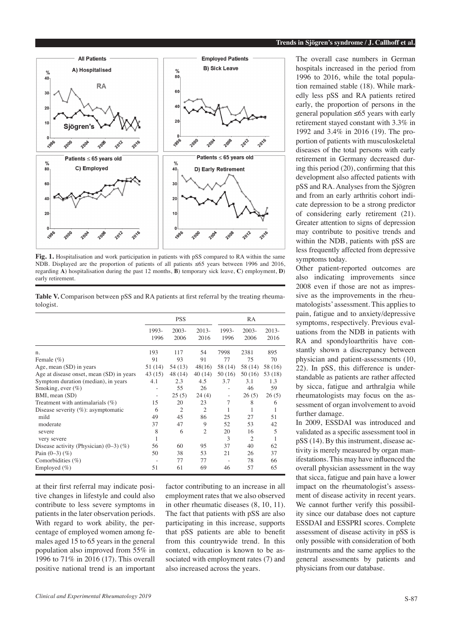

**Fig. 1.** Hospitalisation and work participation in patients with pSS compared to RA within the same NDB. Displayed are the proportion of patients of all patients ≤65 years between 1996 and 2016. regarding **A**) hospitalisation during the past 12 months, **B**) temporary sick leave, **C**) employment, **D**) early retirement.

Table V. Comparison between pSS and RA patients at first referral by the treating rheumatologist.

|                                             | <b>PSS</b>               |                  |                 | RA                       |                  |                 |
|---------------------------------------------|--------------------------|------------------|-----------------|--------------------------|------------------|-----------------|
|                                             | 1993-<br>1996            | $2003 -$<br>2006 | $2013-$<br>2016 | 1993-<br>1996            | $2003 -$<br>2006 | $2013-$<br>2016 |
| n.                                          | 193                      | 117              | 54              | 7998                     | 2381             | 895             |
| Female $(\%)$                               | 91                       | 93               | 91              | 77                       | 75               | 70              |
| Age, mean (SD) in years                     | 51 (14)                  | 54 (13)          | 48(16)          | 58 (14)                  | 58 (14)          | 58 (16)         |
| Age at disease onset, mean (SD) in years    | 43(15)                   | 48 (14)          | 40(14)          | 50(16)                   | 50(16)           | 53 (18)         |
| Symptom duration (median), in years         | 4.1                      | 2.3              | 4.5             | 3.7                      | 3.1              | 1.3             |
| Smoking, ever $(\%)$                        |                          | 55               | 26              |                          | 46               | 59              |
| BMI, mean (SD)                              | $\overline{\phantom{0}}$ | 25(5)            | 24(4)           | $\overline{\phantom{a}}$ | 26(5)            | 26(5)           |
| Treatment with antimalarials (%)            | 15                       | 20               | 23              | 7                        | 8                | 6               |
| Disease severity $(\%)$ : asymptomatic      | 6                        | $\overline{2}$   | $\overline{2}$  |                          | 1                |                 |
| mild                                        | 49                       | 45               | 86              | 25                       | 27               | 51              |
| moderate                                    | 37                       | 47               | 9               | 52                       | 53               | 42              |
| severe                                      | 8                        | 6                | $\overline{2}$  | 20                       | 16               | 5               |
| very severe                                 | 1                        |                  |                 | 3                        | $\overline{2}$   |                 |
| Disease activity (Physician) $(0-3)$ $(\%)$ | 56                       | 60               | 95              | 37                       | 40               | 62              |
| Pain $(0-3)$ $(\%)$                         | 50                       | 38               | 53              | 21                       | 26               | 37              |
| Comorbidities $(\%)$                        | $\equiv$                 | 77               | 77              |                          | 78               | 66              |
| Employed $(\% )$                            | 51                       | 61               | 69              | 46                       | 57               | 65              |

at their first referral may indicate positive changes in lifestyle and could also contribute to less severe symptoms in patients in the later observation periods. With regard to work ability, the percentage of employed women among females aged 15 to 65 years in the general population also improved from 55% in 1996 to 71% in 2016 (17). This overall positive national trend is an important

factor contributing to an increase in all employment rates that we also observed in other rheumatic diseases (8, 10, 11). The fact that patients with pSS are also participating in this increase, supports that pSS patients are able to benefit from this countrywide trend. In this context, education is known to be associated with employment rates (7) and also increased across the years.

The overall case numbers in German hospitals increased in the period from 1996 to 2016, while the total population remained stable (18). While markedly less pSS and RA patients retired early, the proportion of persons in the general population ≤65 years with early retirement stayed constant with 3.3% in 1992 and 3.4% in 2016 (19). The proportion of patients with musculoskeletal diseases of the total persons with early retirement in Germany decreased during this period (20), confirming that this development also affected patients with pSS and RA. Analyses from the Sjögren and from an early arthritis cohort indicate depression to be a strong predictor of considering early retirement (21). Greater attention to signs of depression may contribute to positive trends and within the NDB, patients with pSS are less frequently affected from depressive symptoms today.

Other patient-reported outcomes are also indicating improvements since 2008 even if those are not as impressive as the improvements in the rheumatologists' assessment. This applies to pain, fatigue and to anxiety/depressive symptoms, respectively. Previous evaluations from the NDB in patients with RA and spondyloarthritis have constantly shown a discrepancy between physician and patient-assessments (10, 22). In pSS, this difference is understandable as patients are rather affected by sicca, fatigue and arthralgia while rheumatologists may focus on the assessment of organ involvement to avoid further damage.

In 2009, ESSDAI was introduced and validated as a specific assessment tool in pSS (14). By this instrument, disease activity is merely measured by organ manifestations. This may have influenced the overall physician assessment in the way that sicca, fatigue and pain have a lower impact on the rheumatologist's assessment of disease activity in recent years. We cannot further verify this possibility since our database does not capture ESSDAI and ESSPRI scores. Complete assessment of disease activity in pSS is only possible with consideration of both instruments and the same applies to the general assessments by patients and physicians from our database.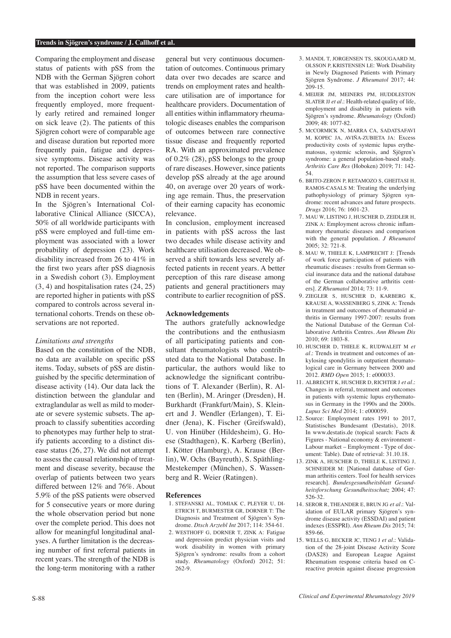#### **Trends in Sjögren's syndrome / J. Callhoff et al.**

Comparing the employment and disease status of patients with pSS from the NDB with the German Sjögren cohort that was established in 2009, patients from the inception cohort were less frequently employed, more frequently early retired and remained longer on sick leave (2). The patients of this Sjögren cohort were of comparable age and disease duration but reported more frequently pain, fatigue and depressive symptoms. Disease activity was not reported. The comparison supports the assumption that less severe cases of pSS have been documented within the NDB in recent years.

In the Sjögren's International Collaborative Clinical Alliance (SICCA), 50% of all worldwide participants with pSS were employed and full-time employment was associated with a lower probability of depression (23). Work disability increased from 26 to 41% in the first two years after pSS diagnosis in a Swedish cohort (3). Employment (3, 4) and hospitalisation rates (24, 25) are reported higher in patients with pSS compared to controls across several international cohorts. Trends on these observations are not reported.

#### *Limitations and strengths*

Based on the constitution of the NDB, no data are available on specific pSS items. Today, subsets of pSS are distinguished by the specific determination of disease activity (14). Our data lack the distinction between the glandular and extraglandular as well as mild to moderate or severe systemic subsets. The approach to classify subentities according to phenotypes may further help to stratify patients according to a distinct disease status (26, 27). We did not attempt to assess the causal relationship of treatment and disease severity, because the overlap of patients between two years differed between 12% and 76%. About 5.9% of the pSS patients were observed for 5 consecutive years or more during the whole observation period but none over the complete period. This does not allow for meaningful longitudinal analyses. A further limitation is the decreasing number of first referral patients in recent years. The strength of the NDB is the long-term monitoring with a rather general but very continuous documentation of outcomes. Continuous primary data over two decades are scarce and trends on employment rates and healthcare utilisation are of importance for healthcare providers. Documentation of all entities within inflammatory rheumatologic diseases enables the comparison of outcomes between rare connective tissue disease and frequently reported RA. With an approximated prevalence of 0.2% (28), pSS belongs to the group of rare diseases. However, since patients develop pSS already at the age around 40, on average over 20 years of working age remain. Thus, the preservation of their earning capacity has economic relevance.

In conclusion, employment increased in patients with pSS across the last two decades while disease activity and healthcare utilisation decreased. We observed a shift towards less severely affected patients in recent years. A better perception of this rare disease among patients and general practitioners may contribute to earlier recognition of pSS.

#### **Acknowledgements**

The authors gratefully acknowledge the contributions and the enthusiasm of all participating patients and consultant rheumatologists who contributed data to the National Database. In particular, the authors would like to acknowledge the significant contributions of T. Alexander (Berlin), R. Alten (Berlin), M. Aringer (Dresden), H. Burkhardt (Frankfurt/Main), S. Kleinert and J. Wendler (Erlangen), T. Eidner (Jena), K. Fischer (Greifswald), U. von Hinüber (Hildesheim), G. Hoese (Stadthagen), K. Karberg (Berlin), I. Kötter (Hamburg), A. Krause (Berlin), W. Ochs (Bayreuth), S. Späthling-Mestekemper (München), S. Wassenberg and R. Weier (Ratingen).

#### **References**

- 1. STEFANSKI AL, TOMIAK C, PLEYER U, DI-ETRICH T, BURMESTER GR, DORNER T: The Diagnosis and Treatment of Sjögren's Syndrome. *Dtsch Arztebl Int* 2017; 114: 354-61.
- 2. WESTHOFF G, DORNER T, ZINK A: Fatigue and depression predict physician visits and work disability in women with primary Sjögren's syndrome: results from a cohort study. *Rheumatology* (Oxford) 2012; 51: 262-9.
- 3. MANDL T, JORGENSEN TS, SKOUGAARD M OLSSON P, KRISTENSEN LE: Work Disability in Newly Diagnosed Patients with Primary Sjögren Syndrome. *J Rheumatol* 2017; 44: 209-15.
- 4. MEIJER JM, MEINERS PM, HUDDLESTON SLATER JJ *et al*.: Health-related quality of life, employment and disability in patients with Sjögren's syndrome. *Rheumatology* (Oxford) 2009; 48: 1077-82.
- 5. McCORMICK N, MARRA CA, SADATSAFAVI M, KOPEC JA, AVIÑA-ZUBIETA JA: Excess productivity costs of systemic lupus erythematosus, systemic sclerosis, and Sjögren's syndrome: a general population-based study. *Arthritis Care Res* (Hoboken) 2019; 71: 142- 54.
- 6. BRITO-ZERON P, RETAMOZO S, GHEITASI H, RAMOS-CASALS M: Treating the underlying pathophysiology of primary Sjögren syndrome: recent advances and future prospects. *Drugs* 2016; 76: 1601-23.
- 7. MAU W, LISTING J, HUSCHER D, ZEIDLER H, ZINK A: Employment across chronic inflammatory rheumatic diseases and comparison with the general population. *J Rheumatol* 2005; 32: 721-8.
- 8. MAU W, THIELE K, LAMPRECHT J: [Trends of work force participation of patients with rheumatic diseases : results from German social insurance data and the national database of the German collaborative arthritis centers]. *Z Rheumatol* 2014; 73: 11-9.
- 9. ZIEGLER S, HUSCHER D, KARBERG K, KRAUSE A, WASSENBERG S, ZINK A: Trends in treatment and outcomes of rheumatoid arthritis in Germany 1997-2007: results from the National Database of the German Collaborative Arthritis Centres. *Ann Rheum Dis*  $2010 \cdot 69: 1803 - 8$ .
- 10. HUSCHER D, THIELE K, RUDWALEIT M *et al*.: Trends in treatment and outcomes of ankylosing spondylitis in outpatient rheumatological care in Germany between 2000 and 2012. *RMD Open* 2015; 1: e000033.
- 11. ALBRECHT K, HUSCHER D, RICHTER J *et al.*: Changes in referral, treatment and outcomes in patients with systemic lupus erythematosus in Germany in the 1990s and the 2000s. *Lupus Sci Med* 2014; 1: e000059.
- 12. Source: Employment rates 1991 to 2017, Statistisches Bundesamt (Destatis), 2018. In www.destatis.de (topical search: Facts & Figures - National economy & environment - Labour market – Employment - Type of document: Table). Date of retrieval: 31.10.18.
- 13. ZINK A, HUSCHER D, THIELE K, LISTING J, SCHNEIDER M: [National database of German arthritis centers. Tool for health services research]. *Bundesgesundheitsblatt Gesundheitsforschung Gesundheitsschutz* 2004; 47: 526-32.
- 14. SEROR R, THEANDER E, BRUN JG *et al*.: Validation of EULAR primary Sjögren's syndrome disease activity (ESSDAI) and patient indexes (ESSPRI). *Ann Rheum Dis* 2015; 74: 859-66.
- 15. WELLS G, BECKER JC, TENG J *et al*.: Validation of the 28-joint Disease Activity Score (DAS28) and European League Against Rheumatism response criteria based on Creactive protein against disease progression